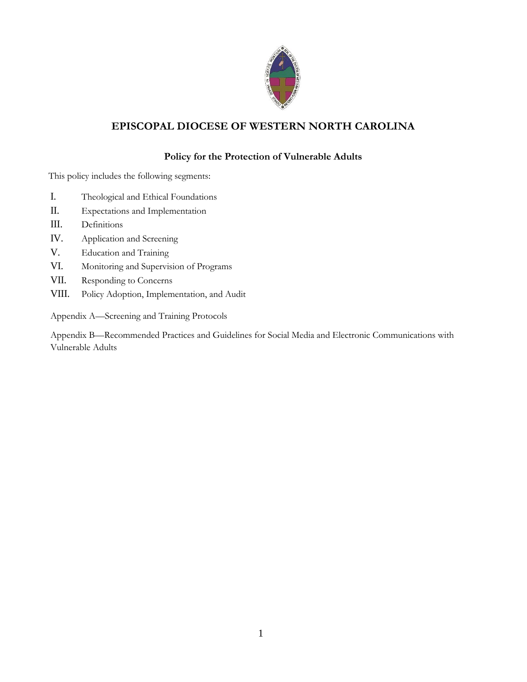

# **EPISCOPAL DIOCESE OF WESTERN NORTH CAROLINA**

# **Policy for the Protection of Vulnerable Adults**

This policy includes the following segments:

- I. Theological and Ethical Foundations
- II. Expectations and Implementation
- III. Definitions
- IV. Application and Screening
- V. Education and Training
- VI. Monitoring and Supervision of Programs
- VII. Responding to Concerns
- VIII. Policy Adoption, Implementation, and Audit

Appendix A—Screening and Training Protocols

Appendix B—Recommended Practices and Guidelines for Social Media and Electronic Communications with Vulnerable Adults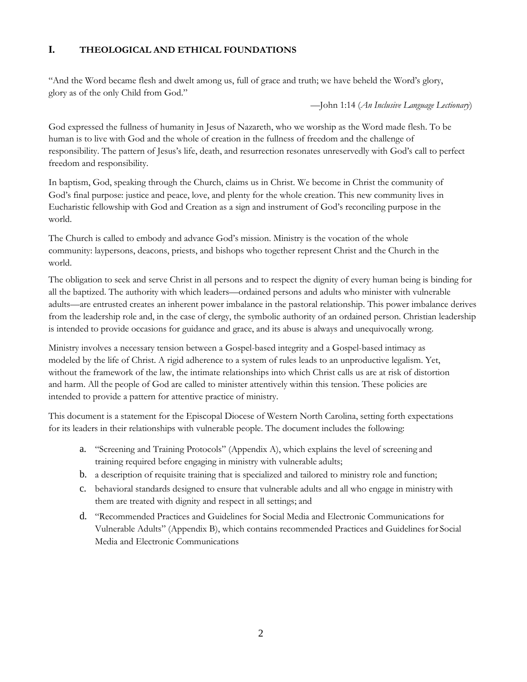## **I. THEOLOGICAL AND ETHICAL FOUNDATIONS**

"And the Word became flesh and dwelt among us, full of grace and truth; we have beheld the Word's glory, glory as of the only Child from God."

—John 1:14 (*An Inclusive Language Lectionary*)

God expressed the fullness of humanity in Jesus of Nazareth, who we worship as the Word made flesh. To be human is to live with God and the whole of creation in the fullness of freedom and the challenge of responsibility. The pattern of Jesus's life, death, and resurrection resonates unreservedly with God's call to perfect freedom and responsibility.

In baptism, God, speaking through the Church, claims us in Christ. We become in Christ the community of God's final purpose: justice and peace, love, and plenty for the whole creation. This new community lives in Eucharistic fellowship with God and Creation as a sign and instrument of God's reconciling purpose in the world.

The Church is called to embody and advance God's mission. Ministry is the vocation of the whole community: laypersons, deacons, priests, and bishops who together represent Christ and the Church in the world.

The obligation to seek and serve Christ in all persons and to respect the dignity of every human being is binding for all the baptized. The authority with which leaders—ordained persons and adults who minister with vulnerable adults—are entrusted creates an inherent power imbalance in the pastoral relationship. This power imbalance derives from the leadership role and, in the case of clergy, the symbolic authority of an ordained person. Christian leadership is intended to provide occasions for guidance and grace, and its abuse is always and unequivocally wrong.

Ministry involves a necessary tension between a Gospel-based integrity and a Gospel-based intimacy as modeled by the life of Christ. A rigid adherence to a system of rules leads to an unproductive legalism. Yet, without the framework of the law, the intimate relationships into which Christ calls us are at risk of distortion and harm. All the people of God are called to minister attentively within this tension. These policies are intended to provide a pattern for attentive practice of ministry.

This document is a statement for the Episcopal Diocese of Western North Carolina, setting forth expectations for its leaders in their relationships with vulnerable people. The document includes the following:

- a. "Screening and Training Protocols" (Appendix A), which explains the level of screening and training required before engaging in ministry with vulnerable adults;
- b. a description of requisite training that is specialized and tailored to ministry role and function;
- c. behavioral standards designed to ensure that vulnerable adults and all who engage in ministrywith them are treated with dignity and respect in all settings; and
- d. "Recommended Practices and Guidelines for Social Media and Electronic Communications for Vulnerable Adults" (Appendix B), which contains recommended Practices and Guidelines for Social Media and Electronic Communications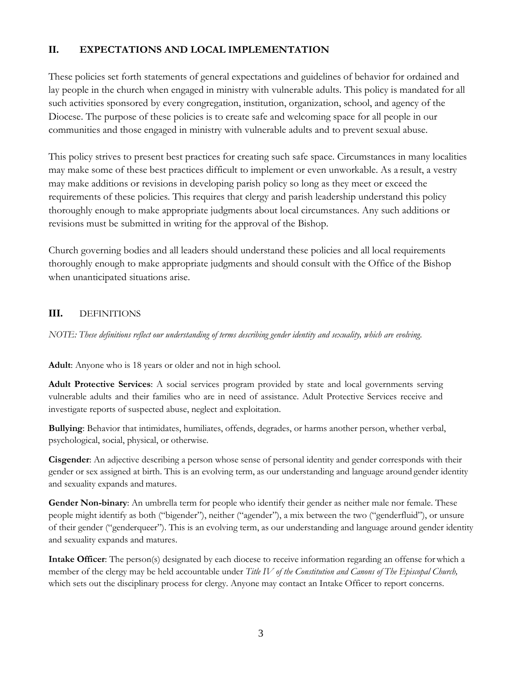# **II. EXPECTATIONS AND LOCAL IMPLEMENTATION**

These policies set forth statements of general expectations and guidelines of behavior for ordained and lay people in the church when engaged in ministry with vulnerable adults. This policy is mandated for all such activities sponsored by every congregation, institution, organization, school, and agency of the Diocese. The purpose of these policies is to create safe and welcoming space for all people in our communities and those engaged in ministry with vulnerable adults and to prevent sexual abuse.

This policy strives to present best practices for creating such safe space. Circumstances in many localities may make some of these best practices difficult to implement or even unworkable. As a result, a vestry may make additions or revisions in developing parish policy so long as they meet or exceed the requirements of these policies. This requires that clergy and parish leadership understand this policy thoroughly enough to make appropriate judgments about local circumstances. Any such additions or revisions must be submitted in writing for the approval of the Bishop.

Church governing bodies and all leaders should understand these policies and all local requirements thoroughly enough to make appropriate judgments and should consult with the Office of the Bishop when unanticipated situations arise.

## **III.** DEFINITIONS

*NOTE: These definitions reflect our understanding of terms describing gender identity and sexuality, which are evolving.*

**Adult**: Anyone who is 18 years or older and not in high school.

**Adult Protective Services**: A social services program provided by state and local governments serving vulnerable adults and their families who are in need of assistance. Adult Protective Services receive and investigate reports of suspected abuse, neglect and exploitation.

**Bullying**: Behavior that intimidates, humiliates, offends, degrades, or harms another person, whether verbal, psychological, social, physical, or otherwise.

**Cisgender**: An adjective describing a person whose sense of personal identity and gender corresponds with their gender or sex assigned at birth. This is an evolving term, as our understanding and language around gender identity and sexuality expands and matures.

**Gender Non-binary**: An umbrella term for people who identify their gender as neither male nor female. These people might identify as both ("bigender"), neither ("agender"), a mix between the two ("genderfluid"), or unsure of their gender ("genderqueer"). This is an evolving term, as our understanding and language around gender identity and sexuality expands and matures.

**Intake Officer**: The person(s) designated by each diocese to receive information regarding an offense forwhich a member of the clergy may be held accountable under *Title IV of the Constitution and Canons of The Episcopal Church,*  which sets out the disciplinary process for clergy. Anyone may contact an Intake Officer to report concerns.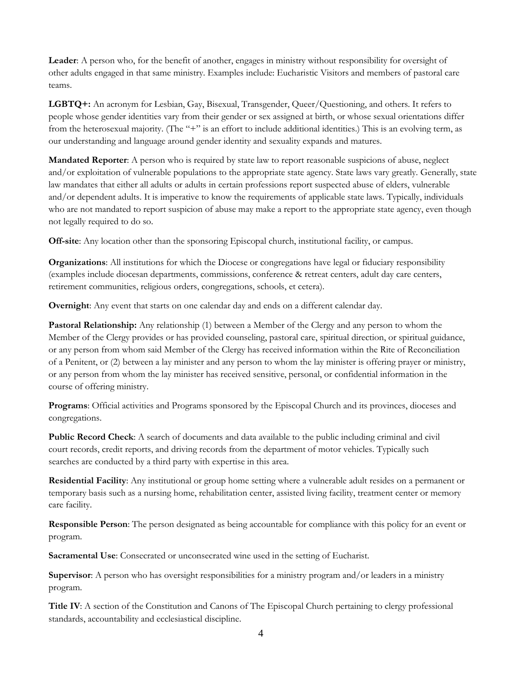**Leader**: A person who, for the benefit of another, engages in ministry without responsibility for oversight of other adults engaged in that same ministry. Examples include: Eucharistic Visitors and members of pastoral care teams.

**LGBTQ+:** An acronym for Lesbian, Gay, Bisexual, Transgender, Queer/Questioning, and others. It refers to people whose gender identities vary from their gender or sex assigned at birth, or whose sexual orientations differ from the heterosexual majority. (The "+" is an effort to include additional identities.) This is an evolving term, as our understanding and language around gender identity and sexuality expands and matures.

**Mandated Reporter**: A person who is required by state law to report reasonable suspicions of abuse, neglect and/or exploitation of vulnerable populations to the appropriate state agency. State laws vary greatly. Generally, state law mandates that either all adults or adults in certain professions report suspected abuse of elders, vulnerable and/or dependent adults. It is imperative to know the requirements of applicable state laws. Typically, individuals who are not mandated to report suspicion of abuse may make a report to the appropriate state agency, even though not legally required to do so.

**Off-site**: Any location other than the sponsoring Episcopal church, institutional facility, or campus.

**Organizations**: All institutions for which the Diocese or congregations have legal or fiduciary responsibility (examples include diocesan departments, commissions, conference & retreat centers, adult day care centers, retirement communities, religious orders, congregations, schools, et cetera).

**Overnight**: Any event that starts on one calendar day and ends on a different calendar day.

**Pastoral Relationship:** Any relationship (1) between a Member of the Clergy and any person to whom the Member of the Clergy provides or has provided counseling, pastoral care, spiritual direction, or spiritual guidance, or any person from whom said Member of the Clergy has received information within the Rite of Reconciliation of a Penitent, or (2) between a lay minister and any person to whom the lay minister is offering prayer or ministry, or any person from whom the lay minister has received sensitive, personal, or confidential information in the course of offering ministry.

**Programs**: Official activities and Programs sponsored by the Episcopal Church and its provinces, dioceses and congregations.

**Public Record Check**: A search of documents and data available to the public including criminal and civil court records, credit reports, and driving records from the department of motor vehicles. Typically such searches are conducted by a third party with expertise in this area.

**Residential Facility**: Any institutional or group home setting where a vulnerable adult resides on a permanent or temporary basis such as a nursing home, rehabilitation center, assisted living facility, treatment center or memory care facility.

**Responsible Person**: The person designated as being accountable for compliance with this policy for an event or program.

**Sacramental Use**: Consecrated or unconsecrated wine used in the setting of Eucharist.

**Supervisor**: A person who has oversight responsibilities for a ministry program and/or leaders in a ministry program.

**Title IV**: A section of the Constitution and Canons of The Episcopal Church pertaining to clergy professional standards, accountability and ecclesiastical discipline.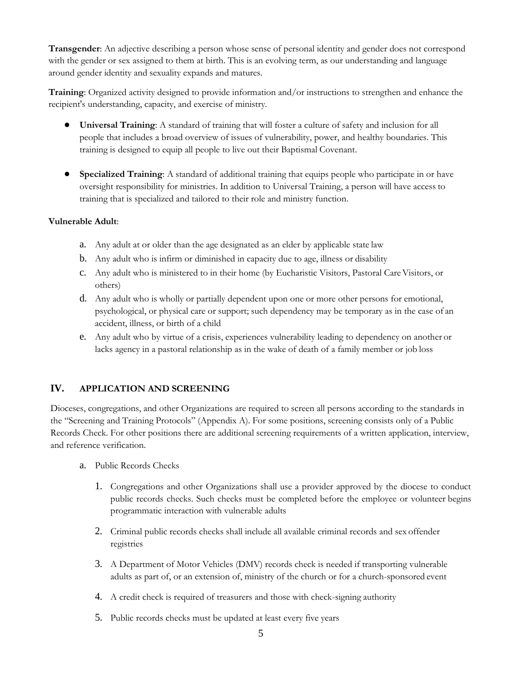**Transgender**: An adjective describing a person whose sense of personal identity and gender does not correspond with the gender or sex assigned to them at birth. This is an evolving term, as our understanding and language around gender identity and sexuality expands and matures.

**Training**: Organized activity designed to provide information and/or instructions to strengthen and enhance the recipient's understanding, capacity, and exercise of ministry.

- **Universal Training**: A standard of training that will foster a culture of safety and inclusion for all people that includes a broad overview of issues of vulnerability, power, and healthy boundaries. This training is designed to equip all people to live out their Baptismal Covenant.
- **Specialized Training**: A standard of additional training that equips people who participate in or have oversight responsibility for ministries. In addition to Universal Training, a person will have access to training that is specialized and tailored to their role and ministry function.

### **Vulnerable Adult**:

- a. Any adult at or older than the age designated as an elder by applicable state law
- b. Any adult who is infirm or diminished in capacity due to age, illness or disability
- c. Any adult who is ministered to in their home (by Eucharistic Visitors, Pastoral CareVisitors, or others)
- d. Any adult who is wholly or partially dependent upon one or more other persons for emotional, psychological, or physical care or support; such dependency may be temporary as in the case of an accident, illness, or birth of a child
- e. Any adult who by virtue of a crisis, experiences vulnerability leading to dependency on another or lacks agency in a pastoral relationship as in the wake of death of a family member or job loss

## **IV. APPLICATION AND SCREENING**

Dioceses, congregations, and other Organizations are required to screen all persons according to the standards in the "Screening and Training Protocols" (Appendix A). For some positions, screening consists only of a Public Records Check. For other positions there are additional screening requirements of a written application, interview, and reference verification.

- a. Public Records Checks
	- 1. Congregations and other Organizations shall use a provider approved by the diocese to conduct public records checks. Such checks must be completed before the employee or volunteer begins programmatic interaction with vulnerable adults
	- 2. Criminal public records checks shall include all available criminal records and sex offender registries
	- 3. A Department of Motor Vehicles (DMV) records check is needed if transporting vulnerable adults as part of, or an extension of, ministry of the church or for a church-sponsored event
	- 4. A credit check is required of treasurers and those with check-signing authority
	- 5. Public records checks must be updated at least every five years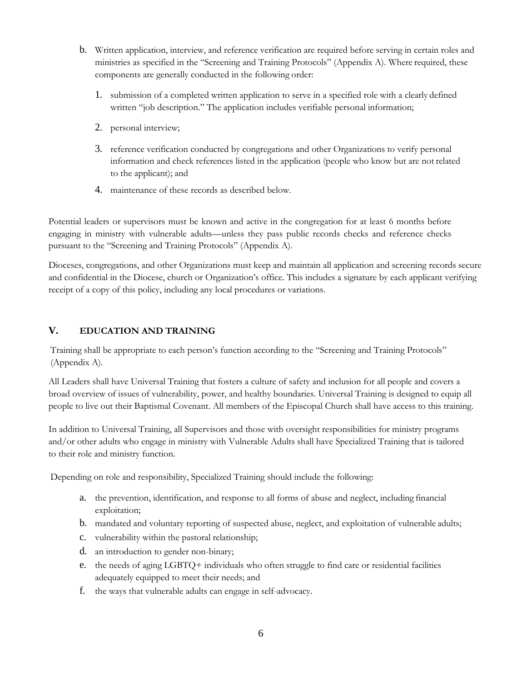- b. Written application, interview, and reference verification are required before serving in certain roles and ministries as specified in the "Screening and Training Protocols" (Appendix A). Where required, these components are generally conducted in the following order:
	- 1. submission of a completed written application to serve in a specified role with a clearly defined written "job description." The application includes verifiable personal information;
	- 2. personal interview;
	- 3. reference verification conducted by congregations and other Organizations to verify personal information and check references listed in the application (people who know but are not related to the applicant); and
	- 4. maintenance of these records as described below.

Potential leaders or supervisors must be known and active in the congregation for at least 6 months before engaging in ministry with vulnerable adults—unless they pass public records checks and reference checks pursuant to the "Screening and Training Protocols" (Appendix A).

Dioceses, congregations, and other Organizations must keep and maintain all application and screening records secure and confidential in the Diocese, church or Organization's office. This includes a signature by each applicant verifying receipt of a copy of this policy, including any local procedures or variations.

## **V. EDUCATION AND TRAINING**

Training shall be appropriate to each person's function according to the "Screening and Training Protocols" (Appendix A).

All Leaders shall have Universal Training that fosters a culture of safety and inclusion for all people and covers a broad overview of issues of vulnerability, power, and healthy boundaries. Universal Training is designed to equip all people to live out their Baptismal Covenant. All members of the Episcopal Church shall have access to this training.

In addition to Universal Training, all Supervisors and those with oversight responsibilities for ministry programs and/or other adults who engage in ministry with Vulnerable Adults shall have Specialized Training that is tailored to their role and ministry function.

Depending on role and responsibility, Specialized Training should include the following:

- a. the prevention, identification, and response to all forms of abuse and neglect, including financial exploitation;
- b. mandated and voluntary reporting of suspected abuse, neglect, and exploitation of vulnerable adults;
- c. vulnerability within the pastoral relationship;
- d. an introduction to gender non-binary;
- e. the needs of aging LGBTQ+ individuals who often struggle to find care or residential facilities adequately equipped to meet their needs; and
- f. the ways that vulnerable adults can engage in self-advocacy.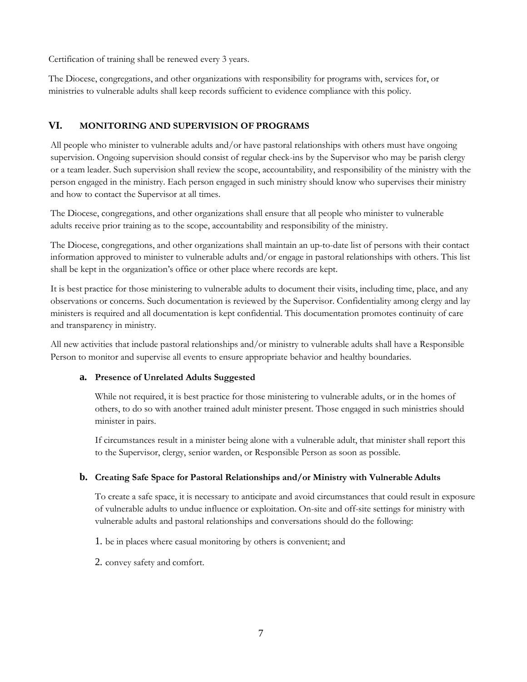Certification of training shall be renewed every 3 years.

The Diocese, congregations, and other organizations with responsibility for programs with, services for, or ministries to vulnerable adults shall keep records sufficient to evidence compliance with this policy.

## **VI. MONITORING AND SUPERVISION OF PROGRAMS**

All people who minister to vulnerable adults and/or have pastoral relationships with others must have ongoing supervision. Ongoing supervision should consist of regular check-ins by the Supervisor who may be parish clergy or a team leader. Such supervision shall review the scope, accountability, and responsibility of the ministry with the person engaged in the ministry. Each person engaged in such ministry should know who supervises their ministry and how to contact the Supervisor at all times.

The Diocese, congregations, and other organizations shall ensure that all people who minister to vulnerable adults receive prior training as to the scope, accountability and responsibility of the ministry.

The Diocese, congregations, and other organizations shall maintain an up-to-date list of persons with their contact information approved to minister to vulnerable adults and/or engage in pastoral relationships with others. This list shall be kept in the organization's office or other place where records are kept.

It is best practice for those ministering to vulnerable adults to document their visits, including time, place, and any observations or concerns. Such documentation is reviewed by the Supervisor. Confidentiality among clergy and lay ministers is required and all documentation is kept confidential. This documentation promotes continuity of care and transparency in ministry.

All new activities that include pastoral relationships and/or ministry to vulnerable adults shall have a Responsible Person to monitor and supervise all events to ensure appropriate behavior and healthy boundaries.

### **a. Presence of Unrelated Adults Suggested**

While not required, it is best practice for those ministering to vulnerable adults, or in the homes of others, to do so with another trained adult minister present. Those engaged in such ministries should minister in pairs.

If circumstances result in a minister being alone with a vulnerable adult, that minister shall report this to the Supervisor, clergy, senior warden, or Responsible Person as soon as possible.

### **b. Creating Safe Space for Pastoral Relationships and/or Ministry with Vulnerable Adults**

To create a safe space, it is necessary to anticipate and avoid circumstances that could result in exposure of vulnerable adults to undue influence or exploitation. On-site and off-site settings for ministry with vulnerable adults and pastoral relationships and conversations should do the following:

1. be in places where casual monitoring by others is convenient; and

2. convey safety and comfort.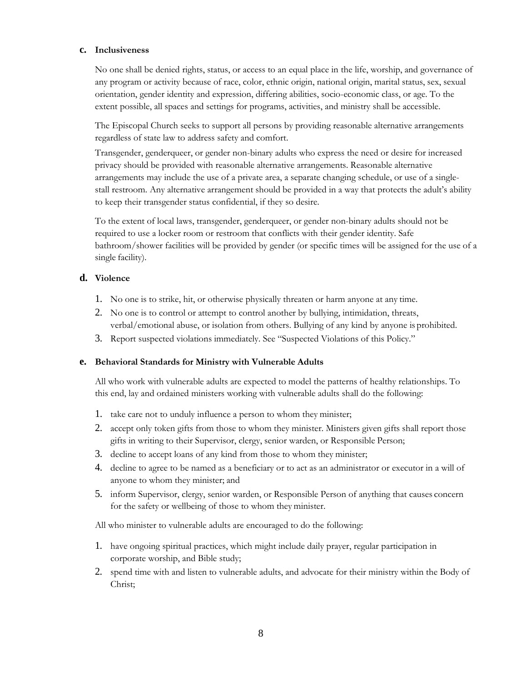#### **c. Inclusiveness**

No one shall be denied rights, status, or access to an equal place in the life, worship, and governance of any program or activity because of race, color, ethnic origin, national origin, marital status, sex, sexual orientation, gender identity and expression, differing abilities, socio-economic class, or age. To the extent possible, all spaces and settings for programs, activities, and ministry shall be accessible.

The Episcopal Church seeks to support all persons by providing reasonable alternative arrangements regardless of state law to address safety and comfort.

Transgender, genderqueer, or gender non-binary adults who express the need or desire for increased privacy should be provided with reasonable alternative arrangements. Reasonable alternative arrangements may include the use of a private area, a separate changing schedule, or use of a singlestall restroom. Any alternative arrangement should be provided in a way that protects the adult's ability to keep their transgender status confidential, if they so desire.

To the extent of local laws, transgender, genderqueer, or gender non-binary adults should not be required to use a locker room or restroom that conflicts with their gender identity. Safe bathroom/shower facilities will be provided by gender (or specific times will be assigned for the use of a single facility).

#### **d. Violence**

- 1. No one is to strike, hit, or otherwise physically threaten or harm anyone at any time.
- 2. No one is to control or attempt to control another by bullying, intimidation, threats, verbal/emotional abuse, or isolation from others. Bullying of any kind by anyone is prohibited.
- 3. Report suspected violations immediately. See "Suspected Violations of this Policy."

#### **e. Behavioral Standards for Ministry with Vulnerable Adults**

All who work with vulnerable adults are expected to model the patterns of healthy relationships. To this end, lay and ordained ministers working with vulnerable adults shall do the following:

- 1. take care not to unduly influence a person to whom they minister;
- 2. accept only token gifts from those to whom they minister. Ministers given gifts shall report those gifts in writing to their Supervisor, clergy, senior warden, or Responsible Person;
- 3. decline to accept loans of any kind from those to whom they minister;
- 4. decline to agree to be named as a beneficiary or to act as an administrator or executor in a will of anyone to whom they minister; and
- 5. inform Supervisor, clergy, senior warden, or Responsible Person of anything that causes concern for the safety or wellbeing of those to whom they minister.

All who minister to vulnerable adults are encouraged to do the following:

- 1. have ongoing spiritual practices, which might include daily prayer, regular participation in corporate worship, and Bible study;
- 2. spend time with and listen to vulnerable adults, and advocate for their ministry within the Body of Christ;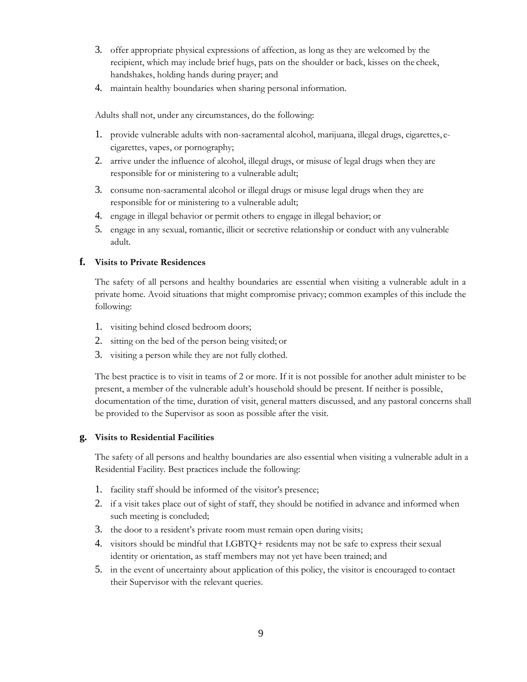- 3. offer appropriate physical expressions of affection, as long as they are welcomed by the recipient, which may include brief hugs, pats on the shoulder or back, kisses on the cheek, handshakes, holding hands during prayer; and
- 4. maintain healthy boundaries when sharing personal information.

Adults shall not, under any circumstances, do the following:

- 1. provide vulnerable adults with non-sacramental alcohol, marijuana, illegal drugs, cigarettes, ecigarettes, vapes, or pornography;
- 2. arrive under the influence of alcohol, illegal drugs, or misuse of legal drugs when they are responsible for or ministering to a vulnerable adult;
- 3. consume non-sacramental alcohol or illegal drugs or misuse legal drugs when they are responsible for or ministering to a vulnerable adult;
- 4. engage in illegal behavior or permit others to engage in illegal behavior; or
- 5. engage in any sexual, romantic, illicit or secretive relationship or conduct with any vulnerable adult.

## **f. Visits to Private Residences**

The safety of all persons and healthy boundaries are essential when visiting a vulnerable adult in a private home. Avoid situations that might compromise privacy; common examples of this include the following:

- 1. visiting behind closed bedroom doors;
- 2. sitting on the bed of the person being visited; or
- 3. visiting a person while they are not fully clothed.

The best practice is to visit in teams of 2 or more. If it is not possible for another adult minister to be present, a member of the vulnerable adult's household should be present. If neither is possible, documentation of the time, duration of visit, general matters discussed, and any pastoral concerns shall be provided to the Supervisor as soon as possible after the visit.

### **g. Visits to Residential Facilities**

The safety of all persons and healthy boundaries are also essential when visiting a vulnerable adult in a Residential Facility. Best practices include the following:

- 1. facility staff should be informed of the visitor's presence;
- 2. if a visit takes place out of sight of staff, they should be notified in advance and informed when such meeting is concluded;
- 3. the door to a resident's private room must remain open during visits;
- 4. visitors should be mindful that LGBTQ+ residents may not be safe to express their sexual identity or orientation, as staff members may not yet have been trained; and
- 5. in the event of uncertainty about application of this policy, the visitor is encouraged to contact their Supervisor with the relevant queries.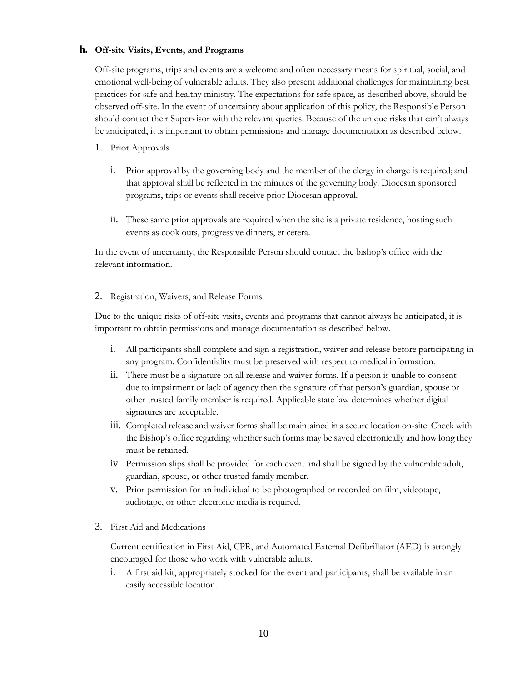### **h. Off-site Visits, Events, and Programs**

Off-site programs, trips and events are a welcome and often necessary means for spiritual, social, and emotional well-being of vulnerable adults. They also present additional challenges for maintaining best practices for safe and healthy ministry. The expectations for safe space, as described above, should be observed off-site. In the event of uncertainty about application of this policy, the Responsible Person should contact their Supervisor with the relevant queries. Because of the unique risks that can't always be anticipated, it is important to obtain permissions and manage documentation as described below.

- 1. Prior Approvals
	- i. Prior approval by the governing body and the member of the clergy in charge is required; and that approval shall be reflected in the minutes of the governing body. Diocesan sponsored programs, trips or events shall receive prior Diocesan approval.
	- ii. These same prior approvals are required when the site is a private residence, hosting such events as cook outs, progressive dinners, et cetera.

In the event of uncertainty, the Responsible Person should contact the bishop's office with the relevant information.

#### 2. Registration, Waivers, and Release Forms

Due to the unique risks of off-site visits, events and programs that cannot always be anticipated, it is important to obtain permissions and manage documentation as described below.

- i. All participants shall complete and sign a registration, waiver and release before participating in any program. Confidentiality must be preserved with respect to medical information.
- ii. There must be a signature on all release and waiver forms. If a person is unable to consent due to impairment or lack of agency then the signature of that person's guardian, spouse or other trusted family member is required. Applicable state law determines whether digital signatures are acceptable.
- iii. Completed release and waiver forms shall be maintained in a secure location on-site. Check with the Bishop's office regarding whether such forms may be saved electronically and how long they must be retained.
- iv. Permission slips shall be provided for each event and shall be signed by the vulnerable adult, guardian, spouse, or other trusted family member.
- v. Prior permission for an individual to be photographed or recorded on film, videotape, audiotape, or other electronic media is required.
- 3. First Aid and Medications

Current certification in First Aid, CPR, and Automated External Defibrillator (AED) is strongly encouraged for those who work with vulnerable adults.

i. A first aid kit, appropriately stocked for the event and participants, shall be available in an easily accessible location.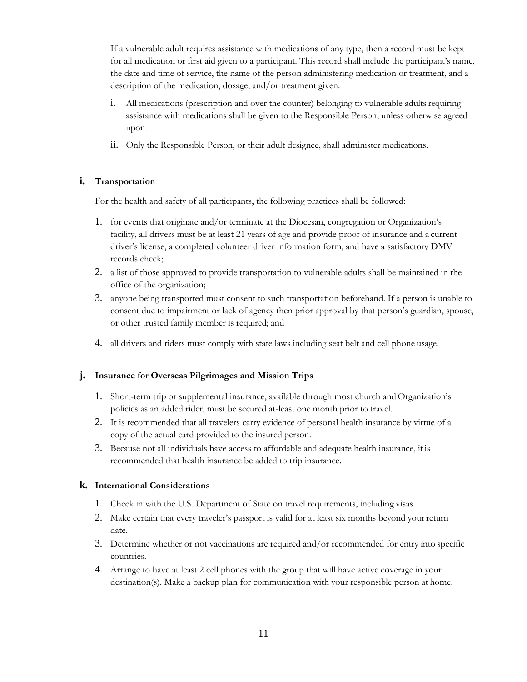If a vulnerable adult requires assistance with medications of any type, then a record must be kept for all medication or first aid given to a participant. This record shall include the participant's name, the date and time of service, the name of the person administering medication or treatment, and a description of the medication, dosage, and/or treatment given.

- i. All medications (prescription and over the counter) belonging to vulnerable adults requiring assistance with medications shall be given to the Responsible Person, unless otherwise agreed upon.
- ii. Only the Responsible Person, or their adult designee, shall administer medications.

### **i. Transportation**

For the health and safety of all participants, the following practices shall be followed:

- 1. for events that originate and/or terminate at the Diocesan, congregation or Organization's facility, all drivers must be at least 21 years of age and provide proof of insurance and a current driver's license, a completed volunteer driver information form, and have a satisfactory DMV records check;
- 2. a list of those approved to provide transportation to vulnerable adults shall be maintained in the office of the organization;
- 3. anyone being transported must consent to such transportation beforehand. If a person is unable to consent due to impairment or lack of agency then prior approval by that person's guardian, spouse, or other trusted family member is required; and
- 4. all drivers and riders must comply with state laws including seat belt and cell phone usage.

### **j. Insurance for Overseas Pilgrimages and Mission Trips**

- 1. Short-term trip or supplemental insurance, available through most church and Organization's policies as an added rider, must be secured at-least one month prior to travel.
- 2. It is recommended that all travelers carry evidence of personal health insurance by virtue of a copy of the actual card provided to the insured person.
- 3. Because not all individuals have access to affordable and adequate health insurance, it is recommended that health insurance be added to trip insurance.

### **k. International Considerations**

- 1. Check in with the U.S. Department of State on travel requirements, including visas.
- 2. Make certain that every traveler's passport is valid for at least six months beyond your return date.
- 3. Determine whether or not vaccinations are required and/or recommended for entry into specific countries.
- 4. Arrange to have at least 2 cell phones with the group that will have active coverage in your destination(s). Make a backup plan for communication with your responsible person at home.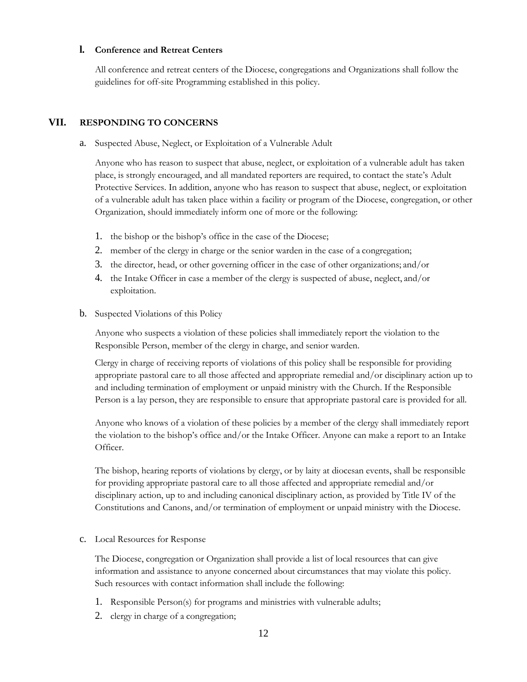#### **l. Conference and Retreat Centers**

All conference and retreat centers of the Diocese, congregations and Organizations shall follow the guidelines for off-site Programming established in this policy.

### **VII. RESPONDING TO CONCERNS**

a. Suspected Abuse, Neglect, or Exploitation of a Vulnerable Adult

Anyone who has reason to suspect that abuse, neglect, or exploitation of a vulnerable adult has taken place, is strongly encouraged, and all mandated reporters are required, to contact the state's Adult Protective Services. In addition, anyone who has reason to suspect that abuse, neglect, or exploitation of a vulnerable adult has taken place within a facility or program of the Diocese, congregation, or other Organization, should immediately inform one of more or the following:

- 1. the bishop or the bishop's office in the case of the Diocese;
- 2. member of the clergy in charge or the senior warden in the case of a congregation;
- 3. the director, head, or other governing officer in the case of other organizations; and/or
- 4. the Intake Officer in case a member of the clergy is suspected of abuse, neglect, and/or exploitation.
- b. Suspected Violations of this Policy

Anyone who suspects a violation of these policies shall immediately report the violation to the Responsible Person, member of the clergy in charge, and senior warden.

Clergy in charge of receiving reports of violations of this policy shall be responsible for providing appropriate pastoral care to all those affected and appropriate remedial and/or disciplinary action up to and including termination of employment or unpaid ministry with the Church. If the Responsible Person is a lay person, they are responsible to ensure that appropriate pastoral care is provided for all.

Anyone who knows of a violation of these policies by a member of the clergy shall immediately report the violation to the bishop's office and/or the Intake Officer. Anyone can make a report to an Intake Officer.

The bishop, hearing reports of violations by clergy, or by laity at diocesan events, shall be responsible for providing appropriate pastoral care to all those affected and appropriate remedial and/or disciplinary action, up to and including canonical disciplinary action, as provided by Title IV of the Constitutions and Canons, and/or termination of employment or unpaid ministry with the Diocese.

#### c. Local Resources for Response

The Diocese, congregation or Organization shall provide a list of local resources that can give information and assistance to anyone concerned about circumstances that may violate this policy. Such resources with contact information shall include the following:

- 1. Responsible Person(s) for programs and ministries with vulnerable adults;
- 2. clergy in charge of a congregation;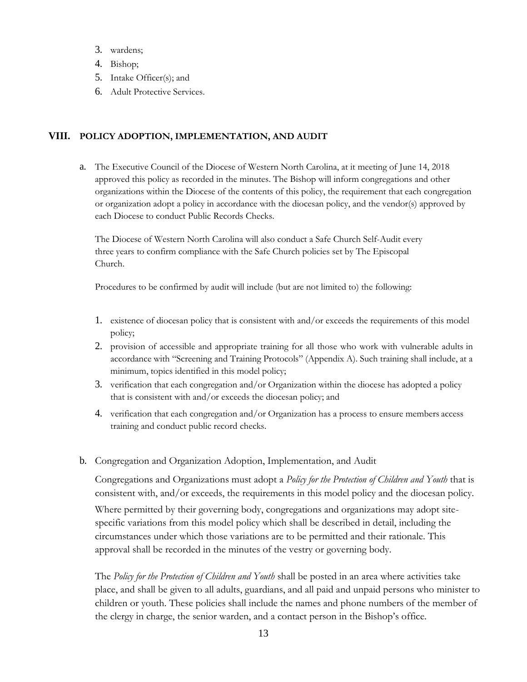- 3. wardens;
- 4. Bishop;
- 5. Intake Officer(s); and
- 6. Adult Protective Services.

## **VIII. POLICY ADOPTION, IMPLEMENTATION, AND AUDIT**

a. The Executive Council of the Diocese of Western North Carolina, at it meeting of June 14, 2018 approved this policy as recorded in the minutes. The Bishop will inform congregations and other organizations within the Diocese of the contents of this policy, the requirement that each congregation or organization adopt a policy in accordance with the diocesan policy, and the vendor(s) approved by each Diocese to conduct Public Records Checks.

The Diocese of Western North Carolina will also conduct a Safe Church Self-Audit every three years to confirm compliance with the Safe Church policies set by The Episcopal Church.

Procedures to be confirmed by audit will include (but are not limited to) the following:

- 1. existence of diocesan policy that is consistent with and/or exceeds the requirements of this model policy;
- 2. provision of accessible and appropriate training for all those who work with vulnerable adults in accordance with "Screening and Training Protocols" (Appendix A). Such training shall include, at a minimum, topics identified in this model policy;
- 3. verification that each congregation and/or Organization within the diocese has adopted a policy that is consistent with and/or exceeds the diocesan policy; and
- 4. verification that each congregation and/or Organization has a process to ensure members access training and conduct public record checks.
- b. Congregation and Organization Adoption, Implementation, and Audit

Congregations and Organizations must adopt a *Policy for the Protection of Children and Youth* that is consistent with, and/or exceeds, the requirements in this model policy and the diocesan policy.

Where permitted by their governing body, congregations and organizations may adopt sitespecific variations from this model policy which shall be described in detail, including the circumstances under which those variations are to be permitted and their rationale. This approval shall be recorded in the minutes of the vestry or governing body.

The *Policy for the Protection of Children and Youth* shall be posted in an area where activities take place, and shall be given to all adults, guardians, and all paid and unpaid persons who minister to children or youth. These policies shall include the names and phone numbers of the member of the clergy in charge, the senior warden, and a contact person in the Bishop's office.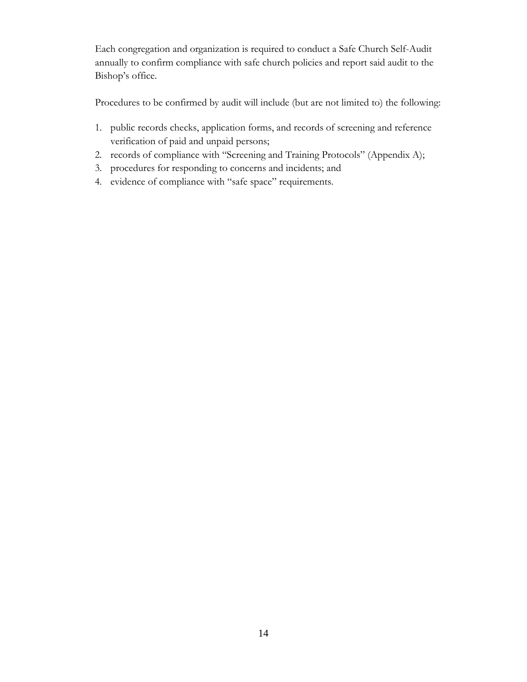Each congregation and organization is required to conduct a Safe Church Self-Audit annually to confirm compliance with safe church policies and report said audit to the Bishop's office.

Procedures to be confirmed by audit will include (but are not limited to) the following:

- 1. public records checks, application forms, and records of screening and reference verification of paid and unpaid persons;
- 2. records of compliance with "Screening and Training Protocols" (Appendix A);
- 3. procedures for responding to concerns and incidents; and
- 4. evidence of compliance with "safe space" requirements.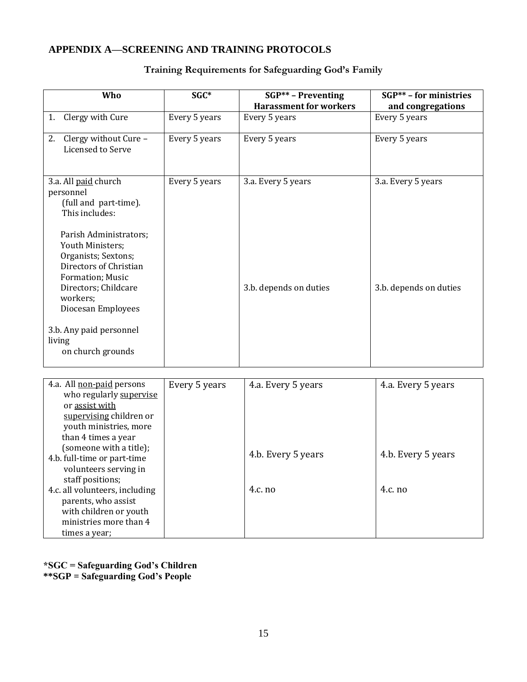# **APPENDIX A—SCREENING AND TRAINING PROTOCOLS**

| Who                                                                                                                                                                                                                                                                                            | SGC*          | $SGP^{**}$ - Preventing                      | SGP** - for ministries                       |
|------------------------------------------------------------------------------------------------------------------------------------------------------------------------------------------------------------------------------------------------------------------------------------------------|---------------|----------------------------------------------|----------------------------------------------|
|                                                                                                                                                                                                                                                                                                |               | <b>Harassment for workers</b>                | and congregations                            |
| Clergy with Cure<br>1.                                                                                                                                                                                                                                                                         | Every 5 years | Every 5 years                                | Every 5 years                                |
| 2. Clergy without Cure -<br>Licensed to Serve                                                                                                                                                                                                                                                  | Every 5 years | Every 5 years                                | Every 5 years                                |
| 3.a. All paid church<br>personnel<br>(full and part-time).<br>This includes:<br>Parish Administrators;<br>Youth Ministers;<br>Organists; Sextons;<br>Directors of Christian<br>Formation; Music<br>Directors; Childcare<br>workers;<br>Diocesan Employees<br>3.b. Any paid personnel<br>living | Every 5 years | 3.a. Every 5 years<br>3.b. depends on duties | 3.a. Every 5 years<br>3.b. depends on duties |
| on church grounds                                                                                                                                                                                                                                                                              |               |                                              |                                              |
| 4.a. All non-paid persons<br>who regularly supervise<br>or assist with<br>supervising children or<br>youth ministries, more<br>than 4 times a year                                                                                                                                             | Every 5 years | 4.a. Every 5 years                           | 4.a. Every 5 years                           |
| (someone with a title);<br>4.b. full-time or part-time<br>volunteers serving in<br>staff positions;                                                                                                                                                                                            |               | 4.b. Every 5 years                           | 4.b. Every 5 years                           |
| 4.c. all volunteers, including<br>parents, who assist<br>with children or youth                                                                                                                                                                                                                |               | 4.c. no                                      | 4.c. no                                      |

# **Training Requirements for Safeguarding God's Family**

**\*SGC = Safeguarding God's Children \*\*SGP = Safeguarding God's People**

ministries more than 4

times a year;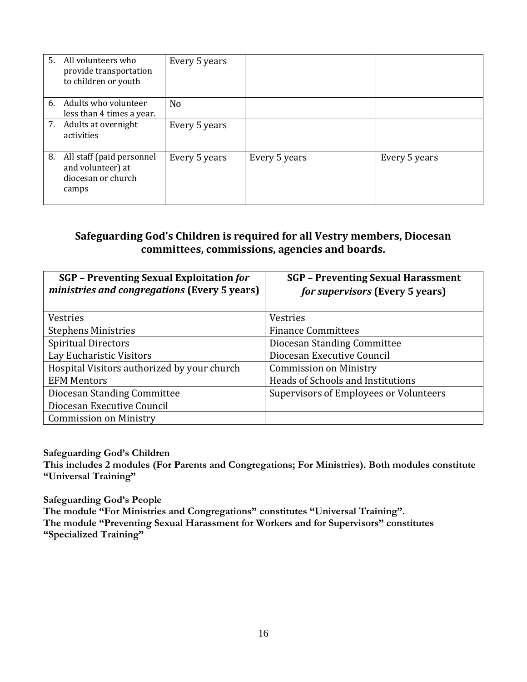|    | 5. All volunteers who<br>provide transportation<br>to children or youth       | Every 5 years  |               |               |
|----|-------------------------------------------------------------------------------|----------------|---------------|---------------|
|    | 6. Adults who volunteer<br>less than 4 times a year.                          | N <sub>o</sub> |               |               |
|    | 7. Adults at overnight<br>activities                                          | Every 5 years  |               |               |
| 8. | All staff (paid personnel<br>and volunteer) at<br>diocesan or church<br>camps | Every 5 years  | Every 5 years | Every 5 years |

# **Safeguarding God's Children is required for all Vestry members, Diocesan committees, commissions, agencies and boards.**

| <b>SGP</b> – Preventing Sexual Exploitation for<br>ministries and congregations (Every 5 years) | <b>SGP</b> - Preventing Sexual Harassment<br><i>for supervisors</i> (Every 5 years) |
|-------------------------------------------------------------------------------------------------|-------------------------------------------------------------------------------------|
| <b>Vestries</b>                                                                                 | <b>Vestries</b>                                                                     |
| <b>Stephens Ministries</b>                                                                      | <b>Finance Committees</b>                                                           |
| <b>Spiritual Directors</b>                                                                      | Diocesan Standing Committee                                                         |
| Lay Eucharistic Visitors                                                                        | Diocesan Executive Council                                                          |
| Hospital Visitors authorized by your church                                                     | <b>Commission on Ministry</b>                                                       |
| <b>EFM Mentors</b>                                                                              | Heads of Schools and Institutions                                                   |
| Diocesan Standing Committee                                                                     | Supervisors of Employees or Volunteers                                              |
| Diocesan Executive Council                                                                      |                                                                                     |
| <b>Commission on Ministry</b>                                                                   |                                                                                     |

**Safeguarding God's Children**

**This includes 2 modules (For Parents and Congregations; For Ministries). Both modules constitute "Universal Training"**

**Safeguarding God's People The module "For Ministries and Congregations" constitutes "Universal Training". The module "Preventing Sexual Harassment for Workers and for Supervisors" constitutes "Specialized Training"**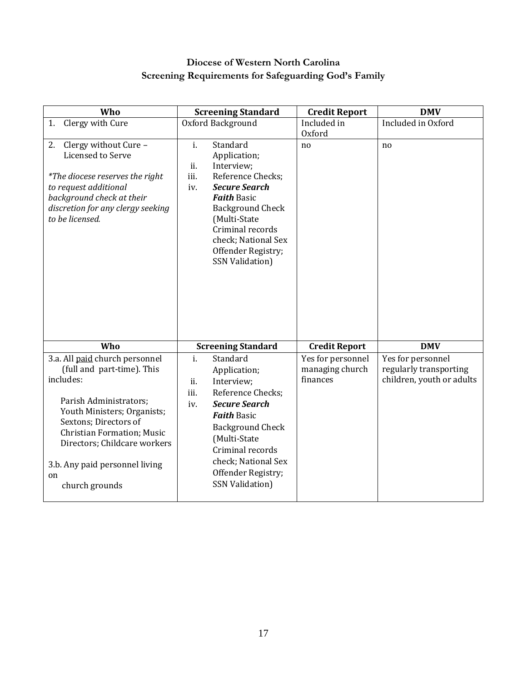# **Diocese of Western North Carolina Screening Requirements for Safeguarding God's Family**

| Who                                                                                                                                                                                                                                                                                        | <b>Screening Standard</b>                                                                                                                                                                                                                                                                | <b>Credit Report</b>                             | <b>DMV</b>                                                               |
|--------------------------------------------------------------------------------------------------------------------------------------------------------------------------------------------------------------------------------------------------------------------------------------------|------------------------------------------------------------------------------------------------------------------------------------------------------------------------------------------------------------------------------------------------------------------------------------------|--------------------------------------------------|--------------------------------------------------------------------------|
| 1. Clergy with Cure                                                                                                                                                                                                                                                                        | Oxford Background                                                                                                                                                                                                                                                                        | Included in                                      | Included in Oxford                                                       |
|                                                                                                                                                                                                                                                                                            |                                                                                                                                                                                                                                                                                          | Oxford                                           |                                                                          |
| 2. Clergy without Cure -<br>Licensed to Serve<br>*The diocese reserves the right<br>to request additional<br>background check at their<br>discretion for any clergy seeking<br>to be licensed.                                                                                             | $\mathbf{i}$ .<br>Standard<br>Application;<br>ii.<br>Interview;<br>iii.<br>Reference Checks;<br><b>Secure Search</b><br>iv.<br><b>Faith Basic</b><br><b>Background Check</b><br>(Multi-State<br>Criminal records<br>check; National Sex<br>Offender Registry;<br><b>SSN Validation)</b>  | no                                               | n <sub>o</sub>                                                           |
| Who                                                                                                                                                                                                                                                                                        | <b>Screening Standard</b>                                                                                                                                                                                                                                                                | <b>Credit Report</b>                             | <b>DMV</b>                                                               |
| 3.a. All paid church personnel<br>(full and part-time). This<br>includes:<br>Parish Administrators;<br>Youth Ministers; Organists;<br>Sextons; Directors of<br><b>Christian Formation; Music</b><br>Directors; Childcare workers<br>3.b. Any paid personnel living<br>on<br>church grounds | $\mathbf{i}$ .<br>Standard<br>Application;<br>ii.<br>Interview;<br>Reference Checks;<br>iii.<br><b>Secure Search</b><br>iv.<br><b>Faith Basic</b><br><b>Background Check</b><br>(Multi-State<br>Criminal records<br>check; National Sex<br>Offender Registry;<br><b>SSN Validation</b> ) | Yes for personnel<br>managing church<br>finances | Yes for personnel<br>regularly transporting<br>children, youth or adults |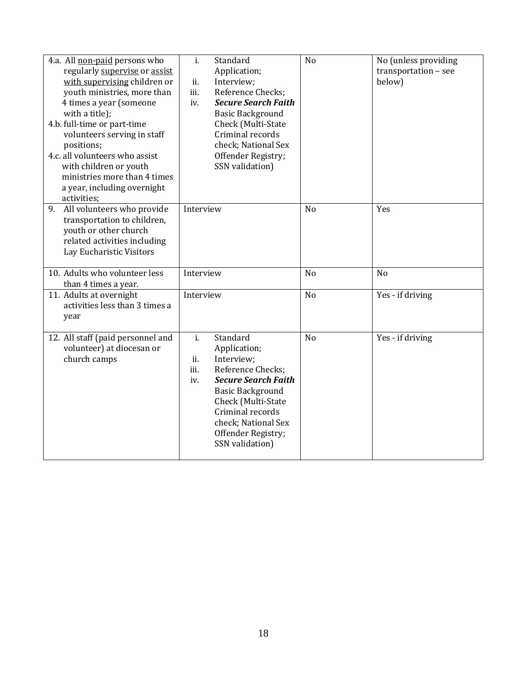| 4.a. All non-paid persons who<br>regularly supervise or assist<br>with supervising children or<br>youth ministries, more than<br>4 times a year (someone<br>with a title);<br>4.b. full-time or part-time<br>volunteers serving in staff<br>positions;<br>4.c. all volunteers who assist<br>with children or youth<br>ministries more than 4 times<br>a year, including overnight<br>activities; | Standard<br>i.<br>Application;<br>ii.<br>Interview;<br>iii.<br>Reference Checks;<br><b>Secure Search Faith</b><br>iv.<br><b>Basic Background</b><br>Check (Multi-State<br>Criminal records<br>check; National Sex<br>Offender Registry;<br>SSN validation)             | N <sub>o</sub> | No (unless providing<br>transportation - see<br>below) |
|--------------------------------------------------------------------------------------------------------------------------------------------------------------------------------------------------------------------------------------------------------------------------------------------------------------------------------------------------------------------------------------------------|------------------------------------------------------------------------------------------------------------------------------------------------------------------------------------------------------------------------------------------------------------------------|----------------|--------------------------------------------------------|
| All volunteers who provide<br>9.<br>transportation to children,<br>youth or other church<br>related activities including<br>Lay Eucharistic Visitors                                                                                                                                                                                                                                             | Interview                                                                                                                                                                                                                                                              | N <sub>o</sub> | Yes                                                    |
| 10. Adults who volunteer less<br>than 4 times a year.                                                                                                                                                                                                                                                                                                                                            | Interview                                                                                                                                                                                                                                                              | N <sub>o</sub> | N <sub>o</sub>                                         |
| 11. Adults at overnight<br>activities less than 3 times a<br>year                                                                                                                                                                                                                                                                                                                                | Interview                                                                                                                                                                                                                                                              | N <sub>o</sub> | Yes - if driving                                       |
| 12. All staff (paid personnel and<br>volunteer) at diocesan or<br>church camps                                                                                                                                                                                                                                                                                                                   | Standard<br>$\mathbf{i}$ .<br>Application;<br>Interview;<br>ii.<br>Reference Checks:<br>iii.<br><b>Secure Search Faith</b><br>iv.<br><b>Basic Background</b><br>Check (Multi-State<br>Criminal records<br>check; National Sex<br>Offender Registry;<br>SSN validation) | N <sub>o</sub> | Yes - if driving                                       |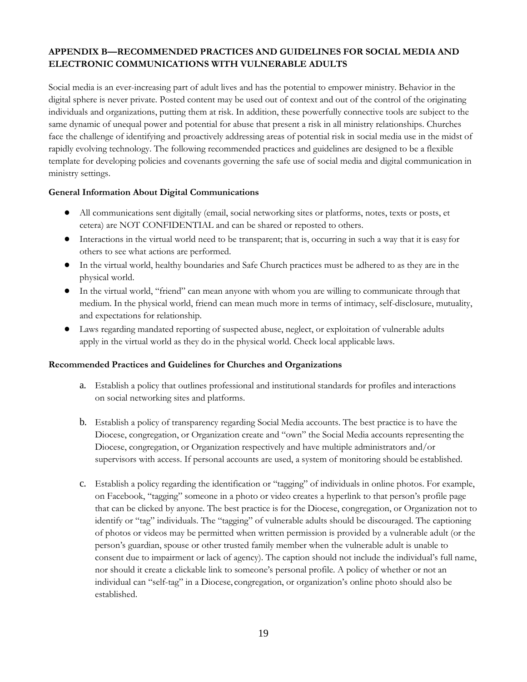## **APPENDIX B—RECOMMENDED PRACTICES AND GUIDELINES FOR SOCIAL MEDIA AND ELECTRONIC COMMUNICATIONS WITH VULNERABLE ADULTS**

Social media is an ever-increasing part of adult lives and has the potential to empower ministry. Behavior in the digital sphere is never private. Posted content may be used out of context and out of the control of the originating individuals and organizations, putting them at risk. In addition, these powerfully connective tools are subject to the same dynamic of unequal power and potential for abuse that present a risk in all ministry relationships. Churches face the challenge of identifying and proactively addressing areas of potential risk in social media use in the midst of rapidly evolving technology. The following recommended practices and guidelines are designed to be a flexible template for developing policies and covenants governing the safe use of social media and digital communication in ministry settings.

### **General Information About Digital Communications**

- All communications sent digitally (email, social networking sites or platforms, notes, texts or posts, et cetera) are NOT CONFIDENTIAL and can be shared or reposted to others.
- Interactions in the virtual world need to be transparent; that is, occurring in such a way that it is easy for others to see what actions are performed.
- In the virtual world, healthy boundaries and Safe Church practices must be adhered to as they are in the physical world.
- In the virtual world, "friend" can mean anyone with whom you are willing to communicate through that medium. In the physical world, friend can mean much more in terms of intimacy, self-disclosure, mutuality, and expectations for relationship.
- Laws regarding mandated reporting of suspected abuse, neglect, or exploitation of vulnerable adults apply in the virtual world as they do in the physical world. Check local applicable laws.

### **Recommended Practices and Guidelines for Churches and Organizations**

- a. Establish a policy that outlines professional and institutional standards for profiles and interactions on social networking sites and platforms.
- b. Establish a policy of transparency regarding Social Media accounts. The best practice is to have the Diocese, congregation, or Organization create and "own" the Social Media accounts representing the Diocese, congregation, or Organization respectively and have multiple administrators and/or supervisors with access. If personal accounts are used, a system of monitoring should be established.
- c. Establish a policy regarding the identification or "tagging" of individuals in online photos. For example, on Facebook, "tagging" someone in a photo or video creates a hyperlink to that person's profile page that can be clicked by anyone. The best practice is for the Diocese, congregation, or Organization not to identify or "tag" individuals. The "tagging" of vulnerable adults should be discouraged. The captioning of photos or videos may be permitted when written permission is provided by a vulnerable adult (or the person's guardian, spouse or other trusted family member when the vulnerable adult is unable to consent due to impairment or lack of agency). The caption should not include the individual's full name, nor should it create a clickable link to someone's personal profile. A policy of whether or not an individual can "self-tag" in a Diocese, congregation, or organization's online photo should also be established.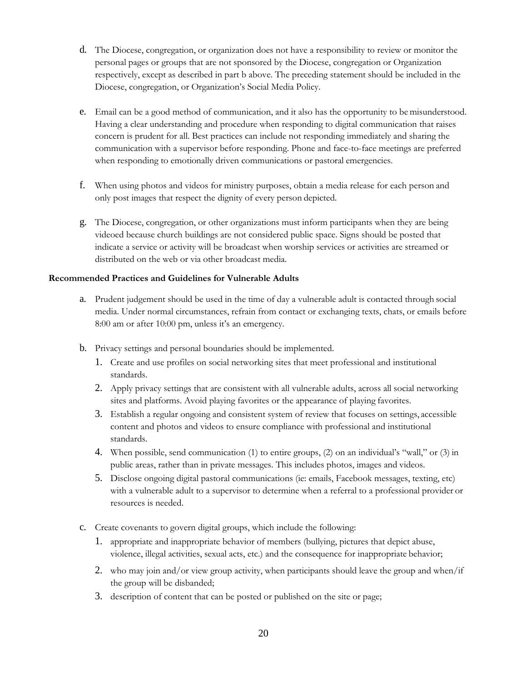- d. The Diocese, congregation, or organization does not have a responsibility to review or monitor the personal pages or groups that are not sponsored by the Diocese, congregation or Organization respectively, except as described in part b above. The preceding statement should be included in the Diocese, congregation, or Organization's Social Media Policy.
- e. Email can be a good method of communication, and it also has the opportunity to be misunderstood. Having a clear understanding and procedure when responding to digital communication that raises concern is prudent for all. Best practices can include not responding immediately and sharing the communication with a supervisor before responding. Phone and face-to-face meetings are preferred when responding to emotionally driven communications or pastoral emergencies.
- f. When using photos and videos for ministry purposes, obtain a media release for each person and only post images that respect the dignity of every person depicted.
- g. The Diocese, congregation, or other organizations must inform participants when they are being videoed because church buildings are not considered public space. Signs should be posted that indicate a service or activity will be broadcast when worship services or activities are streamed or distributed on the web or via other broadcast media.

### **Recommended Practices and Guidelines for Vulnerable Adults**

- a. Prudent judgement should be used in the time of day a vulnerable adult is contacted through social media. Under normal circumstances, refrain from contact or exchanging texts, chats, or emails before 8:00 am or after 10:00 pm, unless it's an emergency.
- b. Privacy settings and personal boundaries should be implemented.
	- 1. Create and use profiles on social networking sites that meet professional and institutional standards.
	- 2. Apply privacy settings that are consistent with all vulnerable adults, across all social networking sites and platforms. Avoid playing favorites or the appearance of playing favorites.
	- 3. Establish a regular ongoing and consistent system of review that focuses on settings, accessible content and photos and videos to ensure compliance with professional and institutional standards.
	- 4. When possible, send communication (1) to entire groups, (2) on an individual's "wall," or (3) in public areas, rather than in private messages. This includes photos, images and videos.
	- 5. Disclose ongoing digital pastoral communications (ie: emails, Facebook messages, texting, etc) with a vulnerable adult to a supervisor to determine when a referral to a professional provider or resources is needed.
- c. Create covenants to govern digital groups, which include the following:
	- 1. appropriate and inappropriate behavior of members (bullying, pictures that depict abuse, violence, illegal activities, sexual acts, etc.) and the consequence for inappropriate behavior;
	- 2. who may join and/or view group activity, when participants should leave the group and when/if the group will be disbanded;
	- 3. description of content that can be posted or published on the site or page;